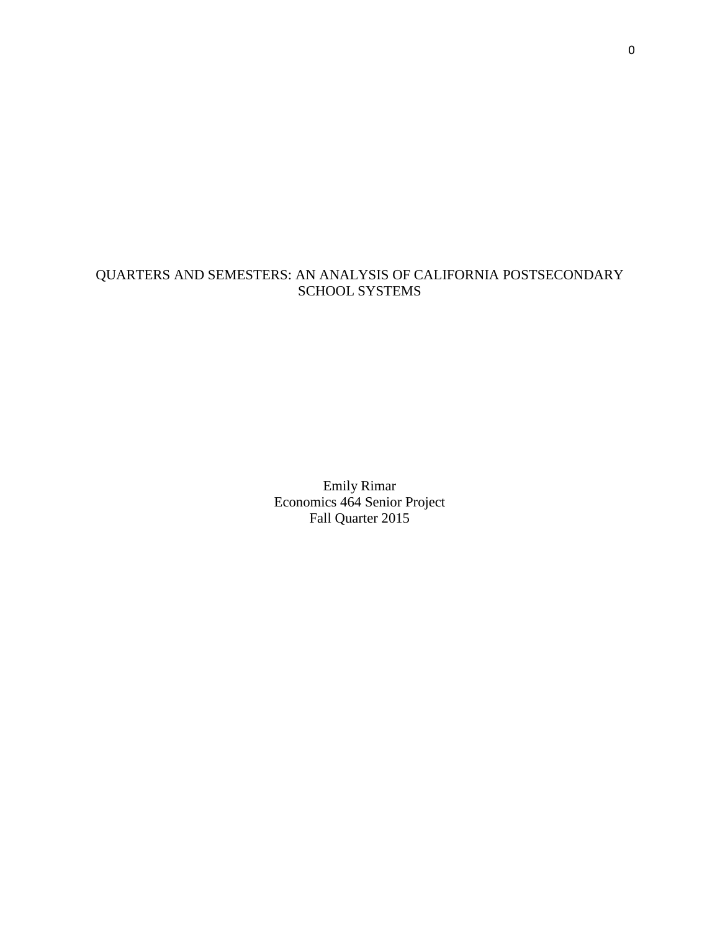# QUARTERS AND SEMESTERS: AN ANALYSIS OF CALIFORNIA POSTSECONDARY SCHOOL SYSTEMS

Emily Rimar Economics 464 Senior Project Fall Quarter 2015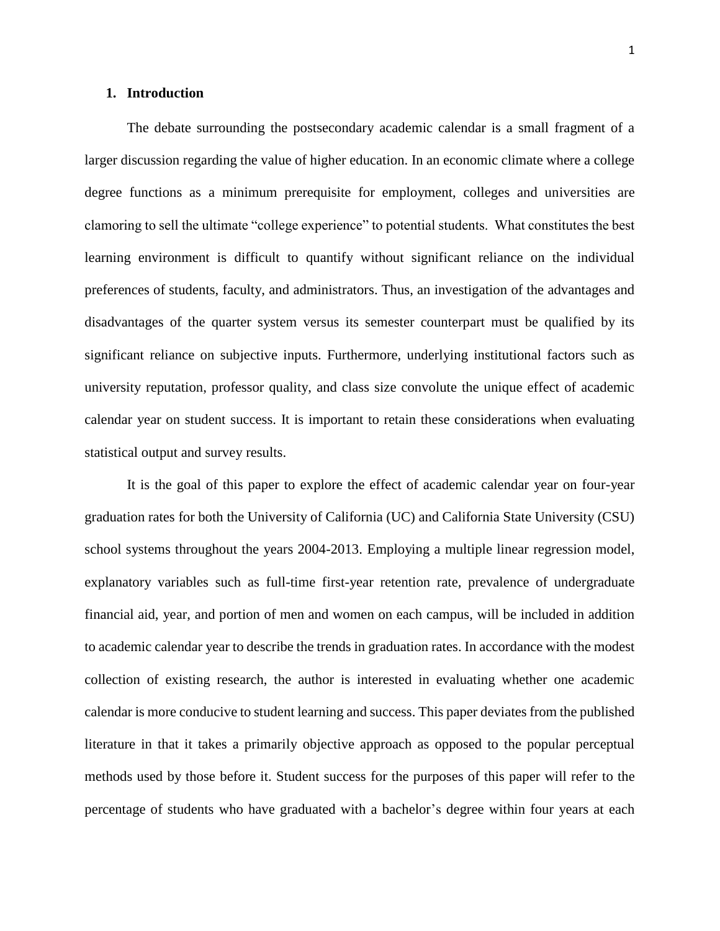## **1. Introduction**

The debate surrounding the postsecondary academic calendar is a small fragment of a larger discussion regarding the value of higher education. In an economic climate where a college degree functions as a minimum prerequisite for employment, colleges and universities are clamoring to sell the ultimate "college experience" to potential students. What constitutes the best learning environment is difficult to quantify without significant reliance on the individual preferences of students, faculty, and administrators. Thus, an investigation of the advantages and disadvantages of the quarter system versus its semester counterpart must be qualified by its significant reliance on subjective inputs. Furthermore, underlying institutional factors such as university reputation, professor quality, and class size convolute the unique effect of academic calendar year on student success. It is important to retain these considerations when evaluating statistical output and survey results.

It is the goal of this paper to explore the effect of academic calendar year on four-year graduation rates for both the University of California (UC) and California State University (CSU) school systems throughout the years 2004-2013. Employing a multiple linear regression model, explanatory variables such as full-time first-year retention rate, prevalence of undergraduate financial aid, year, and portion of men and women on each campus, will be included in addition to academic calendar year to describe the trends in graduation rates. In accordance with the modest collection of existing research, the author is interested in evaluating whether one academic calendar is more conducive to student learning and success. This paper deviates from the published literature in that it takes a primarily objective approach as opposed to the popular perceptual methods used by those before it. Student success for the purposes of this paper will refer to the percentage of students who have graduated with a bachelor's degree within four years at each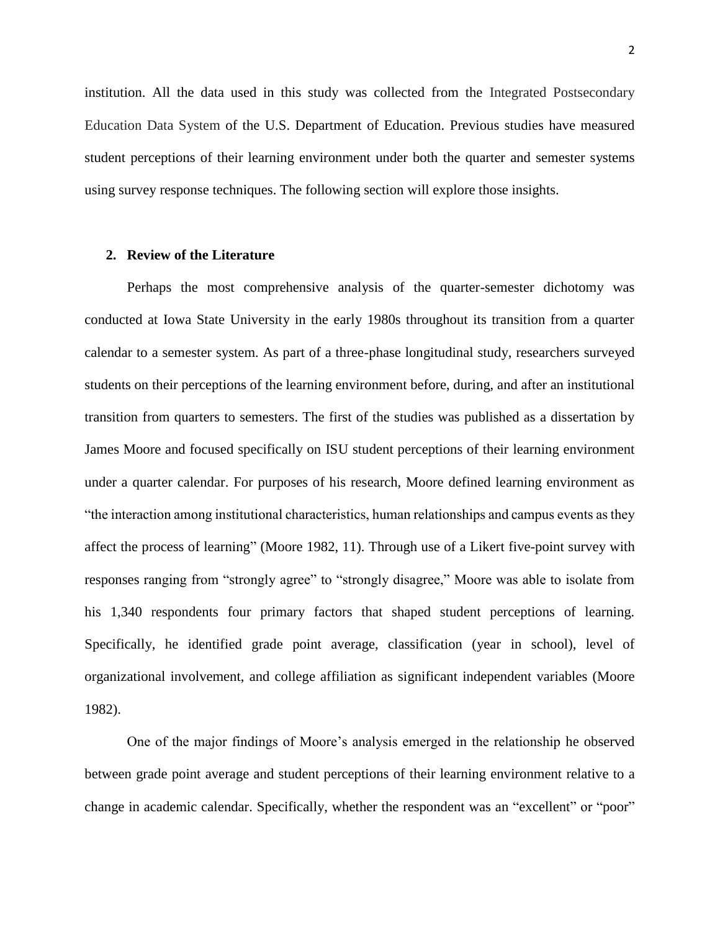institution. All the data used in this study was collected from the Integrated Postsecondary Education Data System of the U.S. Department of Education. Previous studies have measured student perceptions of their learning environment under both the quarter and semester systems using survey response techniques. The following section will explore those insights.

## **2. Review of the Literature**

Perhaps the most comprehensive analysis of the quarter-semester dichotomy was conducted at Iowa State University in the early 1980s throughout its transition from a quarter calendar to a semester system. As part of a three-phase longitudinal study, researchers surveyed students on their perceptions of the learning environment before, during, and after an institutional transition from quarters to semesters. The first of the studies was published as a dissertation by James Moore and focused specifically on ISU student perceptions of their learning environment under a quarter calendar. For purposes of his research, Moore defined learning environment as "the interaction among institutional characteristics, human relationships and campus events as they affect the process of learning" (Moore 1982, 11). Through use of a Likert five-point survey with responses ranging from "strongly agree" to "strongly disagree," Moore was able to isolate from his 1,340 respondents four primary factors that shaped student perceptions of learning. Specifically, he identified grade point average, classification (year in school), level of organizational involvement, and college affiliation as significant independent variables (Moore 1982).

One of the major findings of Moore's analysis emerged in the relationship he observed between grade point average and student perceptions of their learning environment relative to a change in academic calendar. Specifically, whether the respondent was an "excellent" or "poor"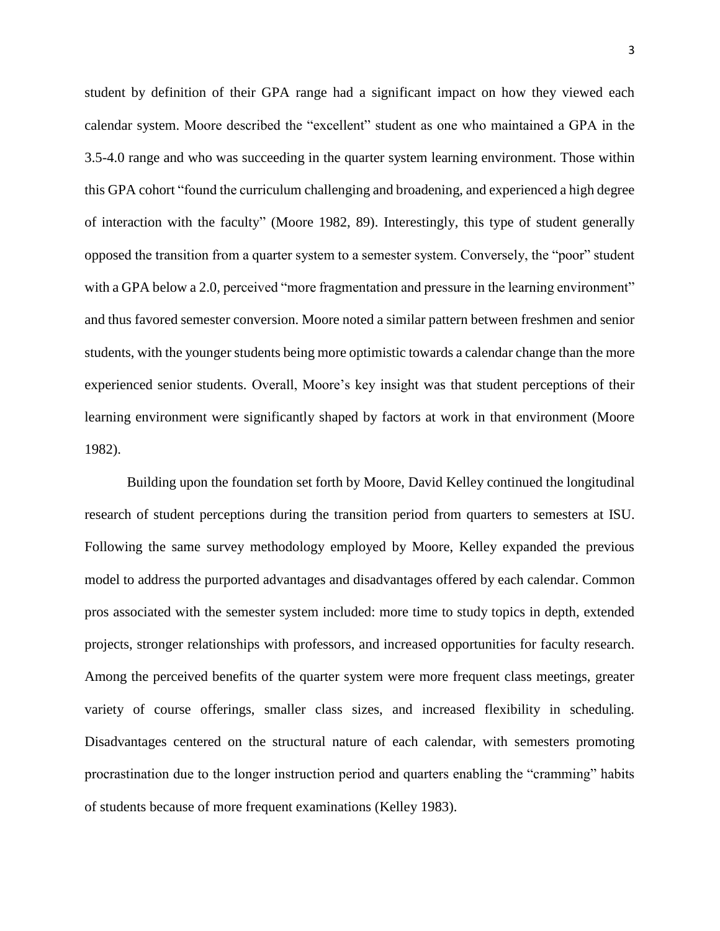student by definition of their GPA range had a significant impact on how they viewed each calendar system. Moore described the "excellent" student as one who maintained a GPA in the 3.5-4.0 range and who was succeeding in the quarter system learning environment. Those within this GPA cohort "found the curriculum challenging and broadening, and experienced a high degree of interaction with the faculty" (Moore 1982, 89). Interestingly, this type of student generally opposed the transition from a quarter system to a semester system. Conversely, the "poor" student with a GPA below a 2.0, perceived "more fragmentation and pressure in the learning environment" and thus favored semester conversion. Moore noted a similar pattern between freshmen and senior students, with the younger students being more optimistic towards a calendar change than the more experienced senior students. Overall, Moore's key insight was that student perceptions of their learning environment were significantly shaped by factors at work in that environment (Moore 1982).

Building upon the foundation set forth by Moore, David Kelley continued the longitudinal research of student perceptions during the transition period from quarters to semesters at ISU. Following the same survey methodology employed by Moore, Kelley expanded the previous model to address the purported advantages and disadvantages offered by each calendar. Common pros associated with the semester system included: more time to study topics in depth, extended projects, stronger relationships with professors, and increased opportunities for faculty research. Among the perceived benefits of the quarter system were more frequent class meetings, greater variety of course offerings, smaller class sizes, and increased flexibility in scheduling. Disadvantages centered on the structural nature of each calendar, with semesters promoting procrastination due to the longer instruction period and quarters enabling the "cramming" habits of students because of more frequent examinations (Kelley 1983).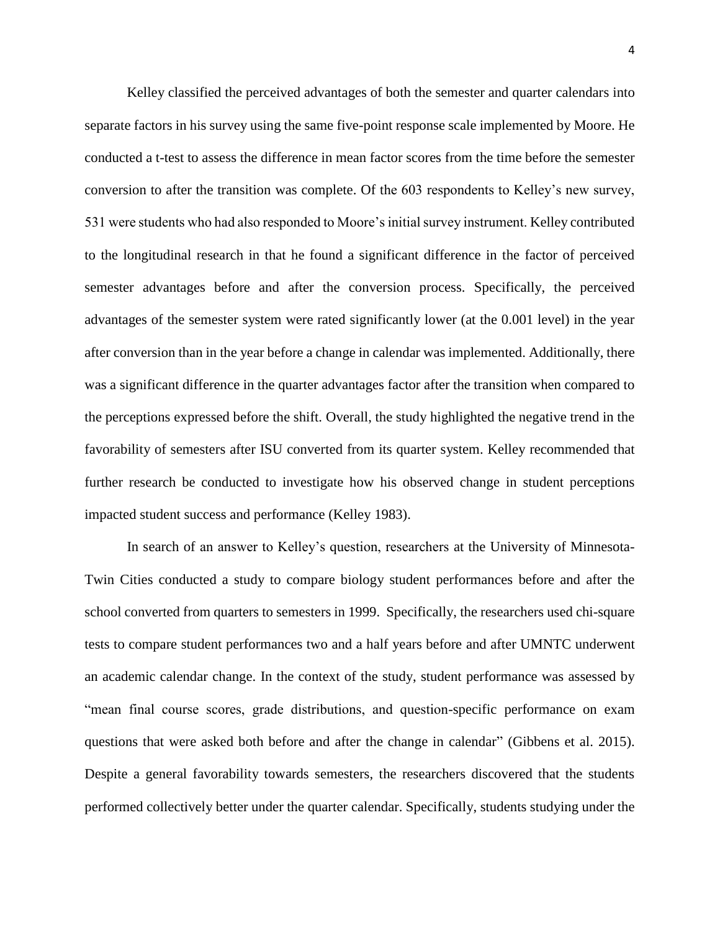Kelley classified the perceived advantages of both the semester and quarter calendars into separate factors in his survey using the same five-point response scale implemented by Moore. He conducted a t-test to assess the difference in mean factor scores from the time before the semester conversion to after the transition was complete. Of the 603 respondents to Kelley's new survey, 531 were students who had also responded to Moore's initial survey instrument. Kelley contributed to the longitudinal research in that he found a significant difference in the factor of perceived semester advantages before and after the conversion process. Specifically, the perceived advantages of the semester system were rated significantly lower (at the 0.001 level) in the year after conversion than in the year before a change in calendar was implemented. Additionally, there was a significant difference in the quarter advantages factor after the transition when compared to the perceptions expressed before the shift. Overall, the study highlighted the negative trend in the favorability of semesters after ISU converted from its quarter system. Kelley recommended that further research be conducted to investigate how his observed change in student perceptions impacted student success and performance (Kelley 1983).

In search of an answer to Kelley's question, researchers at the University of Minnesota-Twin Cities conducted a study to compare biology student performances before and after the school converted from quarters to semesters in 1999. Specifically, the researchers used chi-square tests to compare student performances two and a half years before and after UMNTC underwent an academic calendar change. In the context of the study, student performance was assessed by "mean final course scores, grade distributions, and question-specific performance on exam questions that were asked both before and after the change in calendar" (Gibbens et al. 2015). Despite a general favorability towards semesters, the researchers discovered that the students performed collectively better under the quarter calendar. Specifically, students studying under the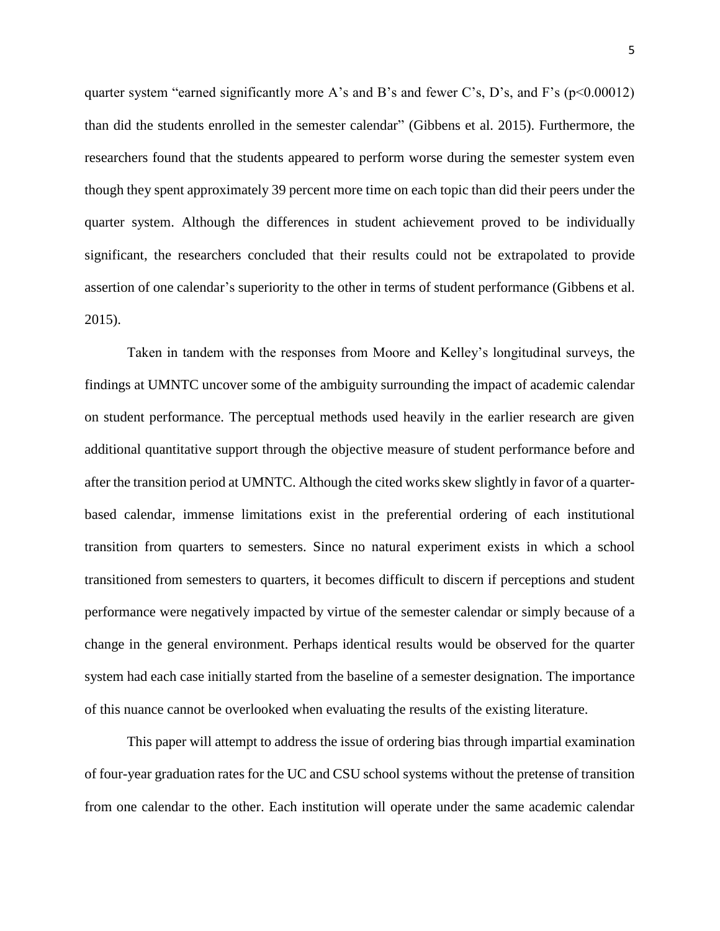quarter system "earned significantly more A's and B's and fewer C's, D's, and F's ( $p<0.00012$ ) than did the students enrolled in the semester calendar" (Gibbens et al. 2015). Furthermore, the researchers found that the students appeared to perform worse during the semester system even though they spent approximately 39 percent more time on each topic than did their peers under the quarter system. Although the differences in student achievement proved to be individually significant, the researchers concluded that their results could not be extrapolated to provide assertion of one calendar's superiority to the other in terms of student performance (Gibbens et al. 2015).

Taken in tandem with the responses from Moore and Kelley's longitudinal surveys, the findings at UMNTC uncover some of the ambiguity surrounding the impact of academic calendar on student performance. The perceptual methods used heavily in the earlier research are given additional quantitative support through the objective measure of student performance before and after the transition period at UMNTC. Although the cited works skew slightly in favor of a quarterbased calendar, immense limitations exist in the preferential ordering of each institutional transition from quarters to semesters. Since no natural experiment exists in which a school transitioned from semesters to quarters, it becomes difficult to discern if perceptions and student performance were negatively impacted by virtue of the semester calendar or simply because of a change in the general environment. Perhaps identical results would be observed for the quarter system had each case initially started from the baseline of a semester designation. The importance of this nuance cannot be overlooked when evaluating the results of the existing literature.

This paper will attempt to address the issue of ordering bias through impartial examination of four-year graduation rates for the UC and CSU school systems without the pretense of transition from one calendar to the other. Each institution will operate under the same academic calendar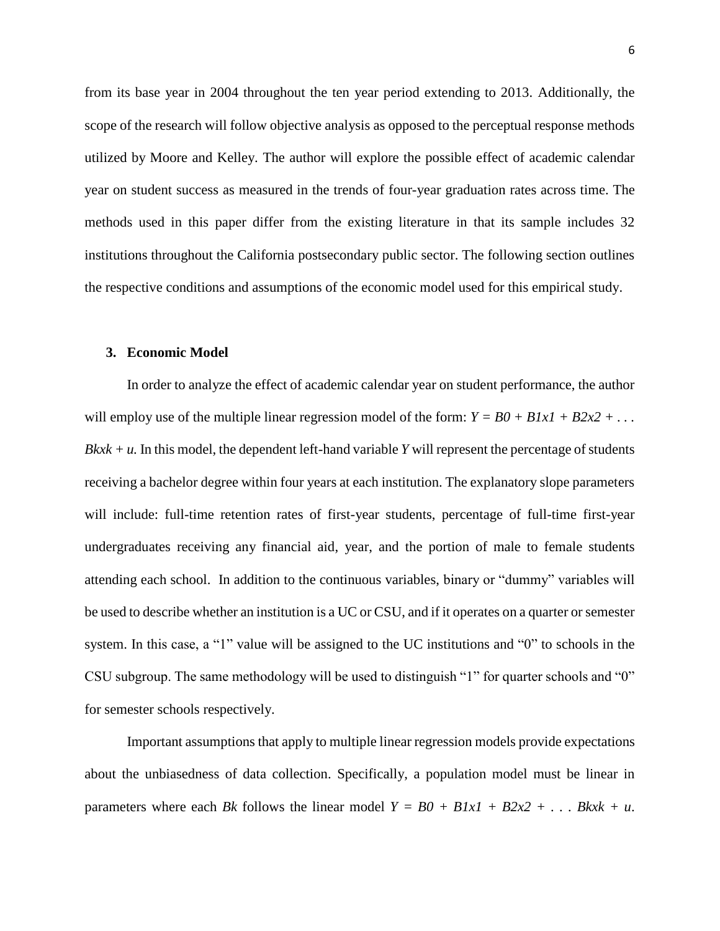from its base year in 2004 throughout the ten year period extending to 2013. Additionally, the scope of the research will follow objective analysis as opposed to the perceptual response methods utilized by Moore and Kelley. The author will explore the possible effect of academic calendar year on student success as measured in the trends of four-year graduation rates across time. The methods used in this paper differ from the existing literature in that its sample includes 32 institutions throughout the California postsecondary public sector. The following section outlines the respective conditions and assumptions of the economic model used for this empirical study.

#### **3. Economic Model**

In order to analyze the effect of academic calendar year on student performance, the author will employ use of the multiple linear regression model of the form:  $Y = B0 + B1xI + B2x2 + ...$  $Bkx + u$ . In this model, the dependent left-hand variable *Y* will represent the percentage of students receiving a bachelor degree within four years at each institution. The explanatory slope parameters will include: full-time retention rates of first-year students, percentage of full-time first-year undergraduates receiving any financial aid, year, and the portion of male to female students attending each school. In addition to the continuous variables, binary or "dummy" variables will be used to describe whether an institution is a UC or CSU, and if it operates on a quarter or semester system. In this case, a "1" value will be assigned to the UC institutions and "0" to schools in the CSU subgroup. The same methodology will be used to distinguish "1" for quarter schools and "0" for semester schools respectively.

Important assumptions that apply to multiple linear regression models provide expectations about the unbiasedness of data collection. Specifically, a population model must be linear in parameters where each *Bk* follows the linear model  $Y = B0 + B1xI + B2x2 + ... BkxK + u$ .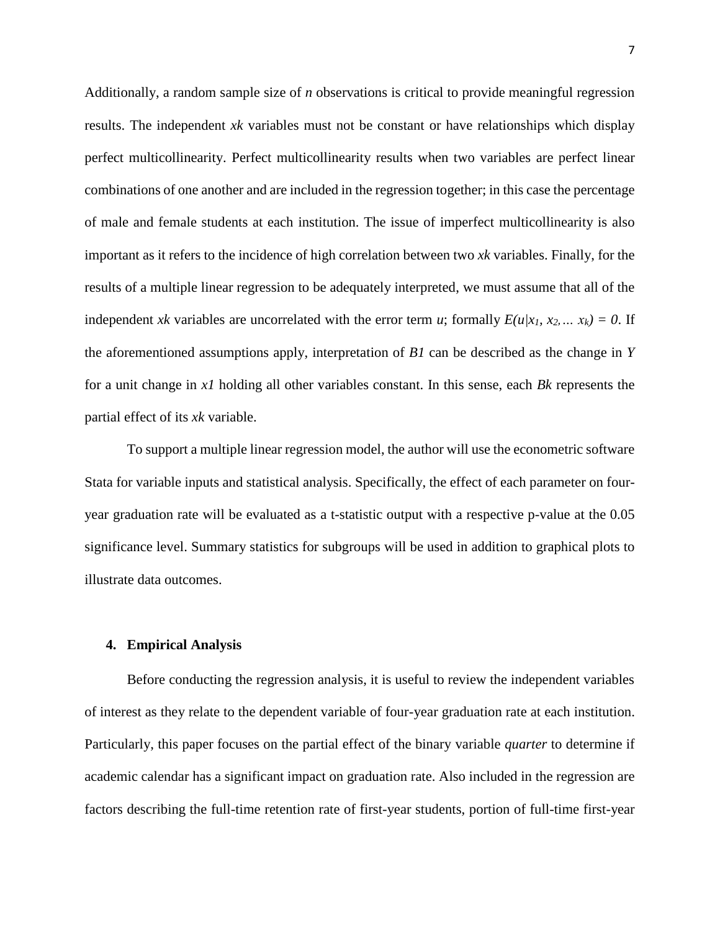Additionally, a random sample size of *n* observations is critical to provide meaningful regression results. The independent *xk* variables must not be constant or have relationships which display perfect multicollinearity. Perfect multicollinearity results when two variables are perfect linear combinations of one another and are included in the regression together; in this case the percentage of male and female students at each institution. The issue of imperfect multicollinearity is also important as it refers to the incidence of high correlation between two *xk* variables. Finally, for the results of a multiple linear regression to be adequately interpreted, we must assume that all of the independent *xk* variables are uncorrelated with the error term *u*; formally  $E(u|x_1, x_2, \ldots, x_k) = 0$ . If the aforementioned assumptions apply, interpretation of *B1* can be described as the change in *Y* for a unit change in *x1* holding all other variables constant. In this sense, each *Bk* represents the partial effect of its *xk* variable.

To support a multiple linear regression model, the author will use the econometric software Stata for variable inputs and statistical analysis. Specifically, the effect of each parameter on fouryear graduation rate will be evaluated as a t-statistic output with a respective p-value at the 0.05 significance level. Summary statistics for subgroups will be used in addition to graphical plots to illustrate data outcomes.

#### **4. Empirical Analysis**

Before conducting the regression analysis, it is useful to review the independent variables of interest as they relate to the dependent variable of four-year graduation rate at each institution. Particularly, this paper focuses on the partial effect of the binary variable *quarter* to determine if academic calendar has a significant impact on graduation rate. Also included in the regression are factors describing the full-time retention rate of first-year students, portion of full-time first-year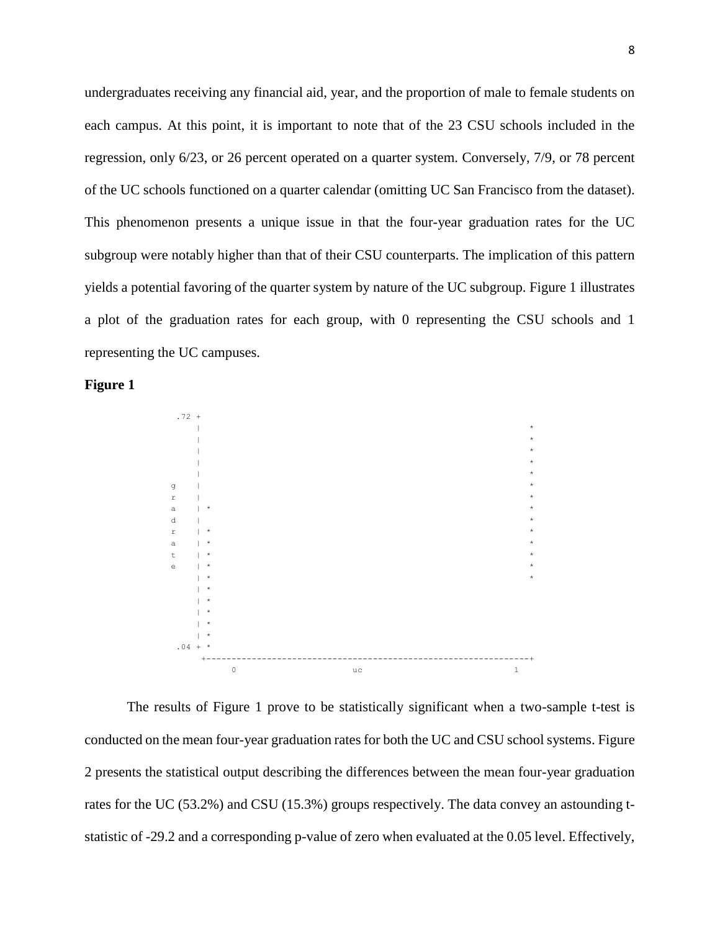undergraduates receiving any financial aid, year, and the proportion of male to female students on each campus. At this point, it is important to note that of the 23 CSU schools included in the regression, only 6/23, or 26 percent operated on a quarter system. Conversely, 7/9, or 78 percent of the UC schools functioned on a quarter calendar (omitting UC San Francisco from the dataset). This phenomenon presents a unique issue in that the four-year graduation rates for the UC subgroup were notably higher than that of their CSU counterparts. The implication of this pattern yields a potential favoring of the quarter system by nature of the UC subgroup. Figure 1 illustrates a plot of the graduation rates for each group, with 0 representing the CSU schools and 1 representing the UC campuses.





The results of Figure 1 prove to be statistically significant when a two-sample t-test is conducted on the mean four-year graduation rates for both the UC and CSU school systems. Figure 2 presents the statistical output describing the differences between the mean four-year graduation rates for the UC (53.2%) and CSU (15.3%) groups respectively. The data convey an astounding tstatistic of -29.2 and a corresponding p-value of zero when evaluated at the 0.05 level. Effectively,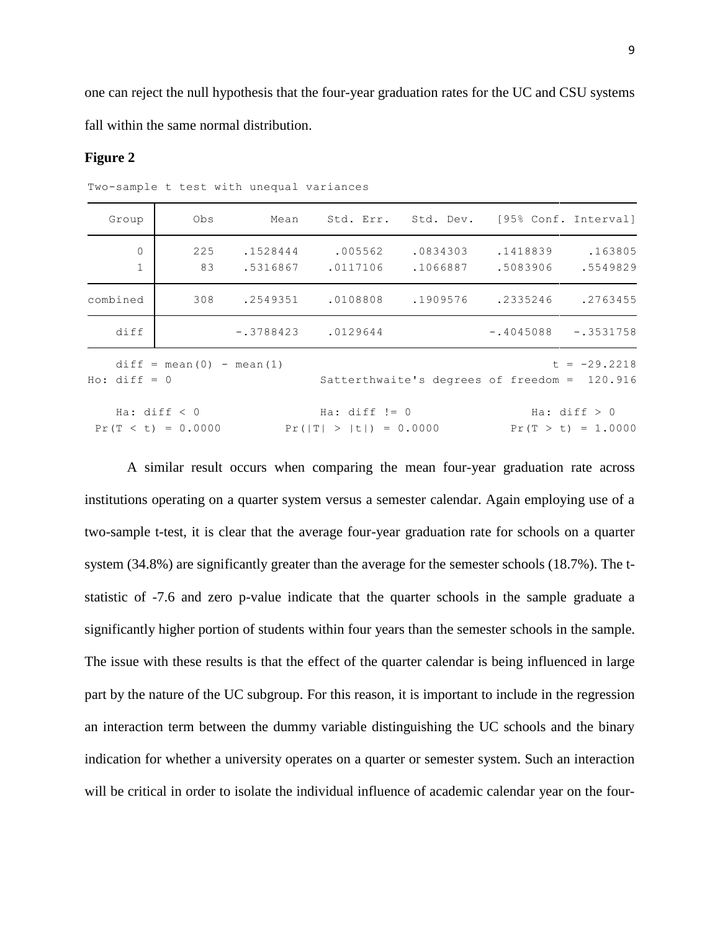one can reject the null hypothesis that the four-year graduation rates for the UC and CSU systems fall within the same normal distribution.

### **Figure 2**

| Group                   | Obs                                    | Mean     | Std. Err. Std. Dev. [95% Conf. Interval]    |                      |                                              |                                        |
|-------------------------|----------------------------------------|----------|---------------------------------------------|----------------------|----------------------------------------------|----------------------------------------|
| $\circ$<br>$\mathbf{1}$ | 225<br>83                              | .1528444 | .005562<br>.5316867 .0117106                | .0834303<br>.1066887 | .1418839<br>.5083906                         | .163805<br>.5549829                    |
| combined                | 308                                    |          | .2549351 .0108808                           | .1909576             | .2335246                                     | .2763455                               |
| diff                    |                                        |          | $-.3788423$ .0129644                        |                      | $-.4045088$                                  | $-.3531758$                            |
| $Ho: diff = 0$          | $diff = mean(0) - mean(1)$             |          |                                             |                      | Satterthwaite's degrees of freedom = 120.916 | $t = -29.2218$                         |
|                         | Ha: $diff < 0$<br>$Pr(T < t) = 0.0000$ |          | Ha: $diff$ != 0<br>$Pr( T  >  t ) = 0.0000$ |                      |                                              | Ha: $diff > 0$<br>$Pr(T > t) = 1.0000$ |

Two-sample t test with unequal variances

A similar result occurs when comparing the mean four-year graduation rate across institutions operating on a quarter system versus a semester calendar. Again employing use of a two-sample t-test, it is clear that the average four-year graduation rate for schools on a quarter system (34.8%) are significantly greater than the average for the semester schools (18.7%). The tstatistic of -7.6 and zero p-value indicate that the quarter schools in the sample graduate a significantly higher portion of students within four years than the semester schools in the sample. The issue with these results is that the effect of the quarter calendar is being influenced in large part by the nature of the UC subgroup. For this reason, it is important to include in the regression an interaction term between the dummy variable distinguishing the UC schools and the binary indication for whether a university operates on a quarter or semester system. Such an interaction will be critical in order to isolate the individual influence of academic calendar year on the four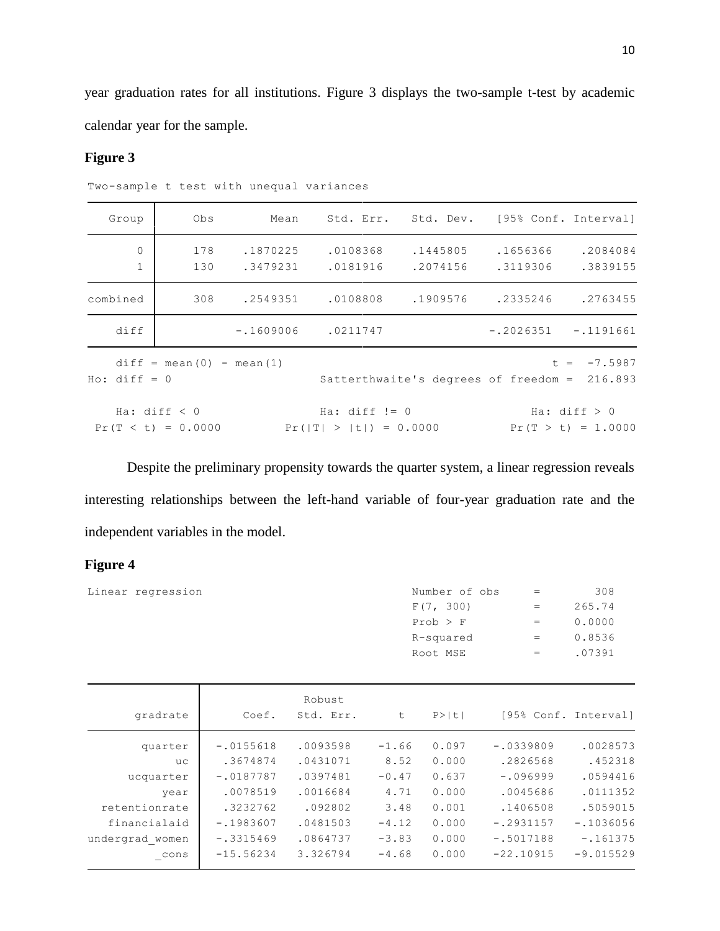year graduation rates for all institutions. Figure 3 displays the two-sample t-test by academic calendar year for the sample.

# **Figure 3**

| Group                       | Obs                                    |                      | Mean Std. Err. Std. Dev. [95% Conf. Interval] |                      |                                              |                                        |
|-----------------------------|----------------------------------------|----------------------|-----------------------------------------------|----------------------|----------------------------------------------|----------------------------------------|
| $\mathbf 0$<br>$\mathbf{1}$ | 178<br>130                             | .1870225<br>.3479231 | .0108368<br>.0181916                          | .1445805<br>.2074156 | .1656366<br>.3119306                         | .2084084<br>.3839155                   |
| combined                    | 308                                    | .2549351             | .0108808                                      | .1909576             | .2335246                                     | .2763455                               |
| diff                        |                                        | $-.1609006$          | .0211747                                      |                      | $-.2026351 - .1191661$                       |                                        |
| $Ho: diff = 0$              | $diff = mean(0) - mean(1)$             |                      |                                               |                      | Satterthwaite's degrees of freedom = 216.893 | $t = -7.5987$                          |
|                             | Ha: $diff < 0$<br>$Pr(T < t) = 0.0000$ |                      | Ha: $diff$ != 0<br>$Pr( T  >  t ) = 0.0000$   |                      |                                              | Ha: $diff > 0$<br>$Pr(T > t) = 1.0000$ |

Two-sample t test with unequal variances

Despite the preliminary propensity towards the quarter system, a linear regression reveals interesting relationships between the left-hand variable of four-year graduation rate and the independent variables in the model.

# **Figure 4**

| Linear regression | Number of obs | $=$ | 308    |
|-------------------|---------------|-----|--------|
|                   | F(7, 300)     | $=$ | 265.74 |
|                   | $Prob$ > $F$  | $=$ | 0.0000 |
|                   | R-squared     | $=$ | 0.8536 |
|                   | Root MSE      | $=$ | .07391 |
|                   |               |     |        |

| gradrate        | Coef.       | Robust<br>Std. Err. | t       | P >  t |             | [95% Conf. Interval] |
|-----------------|-------------|---------------------|---------|--------|-------------|----------------------|
| quarter         | $-.0155618$ | .0093598            | $-1.66$ | 0.097  | $-.0339809$ | .0028573             |
| uc              | .3674874    | .0431071            | 8.52    | 0.000  | .2826568    | .452318              |
| ucquarter       | $-.0187787$ | .0397481            | $-0.47$ | 0.637  | $-.096999$  | .0594416             |
| year            | .0078519    | .0016684            | 4.71    | 0.000  | .0045686    | .0111352             |
| retentionrate   | .3232762    | .092802             | 3.48    | 0.001  | .1406508    | .5059015             |
| financialaid    | $-.1983607$ | .0481503            | $-4.12$ | 0.000  | $-.2931157$ | $-1036056$           |
| undergrad women | $-.3315469$ | .0864737            | $-3.83$ | 0.000  | $-.5017188$ | $-.161375$           |
| cons            | $-15.56234$ | 3.326794            | $-4.68$ | 0.000  | $-22.10915$ | $-9.015529$          |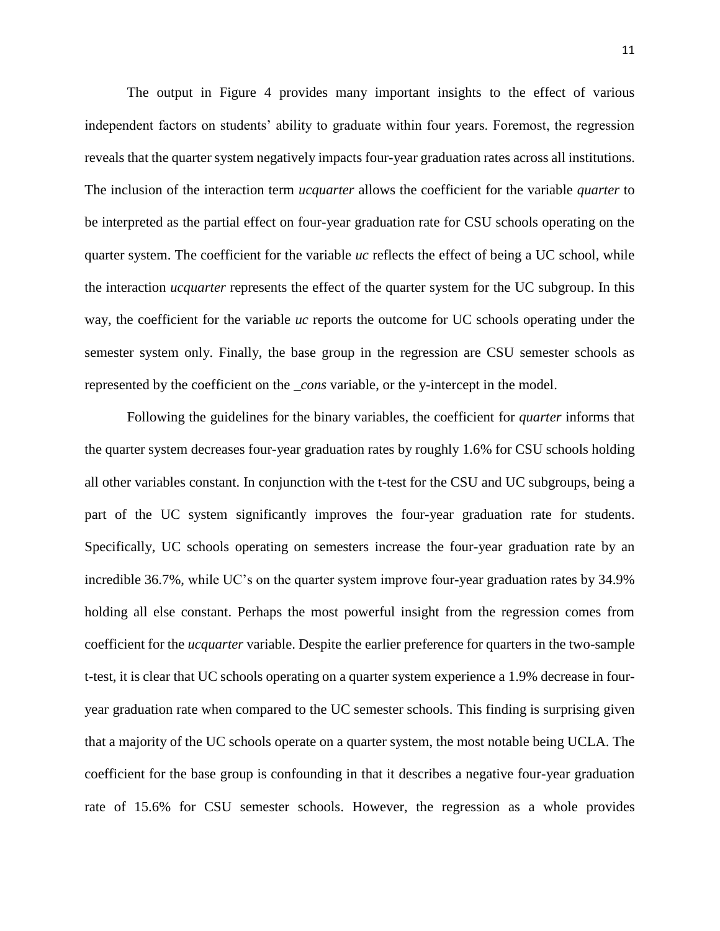The output in Figure 4 provides many important insights to the effect of various independent factors on students' ability to graduate within four years. Foremost, the regression reveals that the quarter system negatively impacts four-year graduation rates across all institutions. The inclusion of the interaction term *ucquarter* allows the coefficient for the variable *quarter* to be interpreted as the partial effect on four-year graduation rate for CSU schools operating on the quarter system. The coefficient for the variable *uc* reflects the effect of being a UC school, while the interaction *ucquarter* represents the effect of the quarter system for the UC subgroup. In this way, the coefficient for the variable *uc* reports the outcome for UC schools operating under the semester system only. Finally, the base group in the regression are CSU semester schools as represented by the coefficient on the *\_cons* variable, or the y-intercept in the model.

Following the guidelines for the binary variables, the coefficient for *quarter* informs that the quarter system decreases four-year graduation rates by roughly 1.6% for CSU schools holding all other variables constant. In conjunction with the t-test for the CSU and UC subgroups, being a part of the UC system significantly improves the four-year graduation rate for students. Specifically, UC schools operating on semesters increase the four-year graduation rate by an incredible 36.7%, while UC's on the quarter system improve four-year graduation rates by 34.9% holding all else constant. Perhaps the most powerful insight from the regression comes from coefficient for the *ucquarter* variable. Despite the earlier preference for quarters in the two-sample t-test, it is clear that UC schools operating on a quarter system experience a 1.9% decrease in fouryear graduation rate when compared to the UC semester schools. This finding is surprising given that a majority of the UC schools operate on a quarter system, the most notable being UCLA. The coefficient for the base group is confounding in that it describes a negative four-year graduation rate of 15.6% for CSU semester schools. However, the regression as a whole provides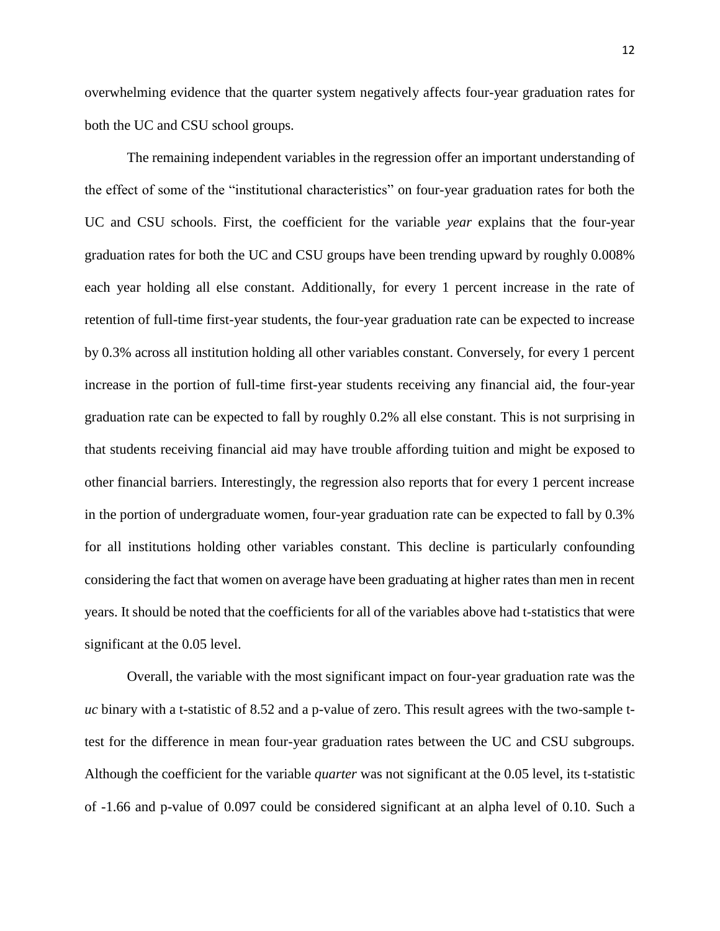overwhelming evidence that the quarter system negatively affects four-year graduation rates for both the UC and CSU school groups.

The remaining independent variables in the regression offer an important understanding of the effect of some of the "institutional characteristics" on four-year graduation rates for both the UC and CSU schools. First, the coefficient for the variable *year* explains that the four-year graduation rates for both the UC and CSU groups have been trending upward by roughly 0.008% each year holding all else constant. Additionally, for every 1 percent increase in the rate of retention of full-time first-year students, the four-year graduation rate can be expected to increase by 0.3% across all institution holding all other variables constant. Conversely, for every 1 percent increase in the portion of full-time first-year students receiving any financial aid, the four-year graduation rate can be expected to fall by roughly 0.2% all else constant. This is not surprising in that students receiving financial aid may have trouble affording tuition and might be exposed to other financial barriers. Interestingly, the regression also reports that for every 1 percent increase in the portion of undergraduate women, four-year graduation rate can be expected to fall by 0.3% for all institutions holding other variables constant. This decline is particularly confounding considering the fact that women on average have been graduating at higher rates than men in recent years. It should be noted that the coefficients for all of the variables above had t-statistics that were significant at the 0.05 level.

Overall, the variable with the most significant impact on four-year graduation rate was the *uc* binary with a t-statistic of 8.52 and a p-value of zero. This result agrees with the two-sample ttest for the difference in mean four-year graduation rates between the UC and CSU subgroups. Although the coefficient for the variable *quarter* was not significant at the 0.05 level, its t-statistic of -1.66 and p-value of 0.097 could be considered significant at an alpha level of 0.10. Such a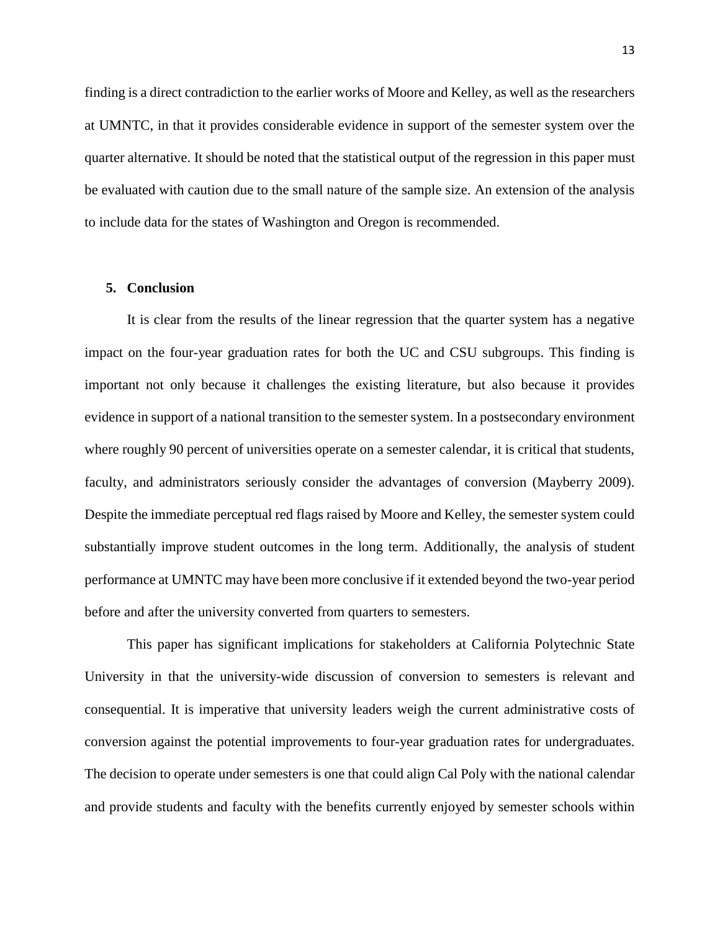finding is a direct contradiction to the earlier works of Moore and Kelley, as well as the researchers at UMNTC, in that it provides considerable evidence in support of the semester system over the quarter alternative. It should be noted that the statistical output of the regression in this paper must be evaluated with caution due to the small nature of the sample size. An extension of the analysis to include data for the states of Washington and Oregon is recommended.

#### **5. Conclusion**

It is clear from the results of the linear regression that the quarter system has a negative impact on the four-year graduation rates for both the UC and CSU subgroups. This finding is important not only because it challenges the existing literature, but also because it provides evidence in support of a national transition to the semester system. In a postsecondary environment where roughly 90 percent of universities operate on a semester calendar, it is critical that students, faculty, and administrators seriously consider the advantages of conversion (Mayberry 2009). Despite the immediate perceptual red flags raised by Moore and Kelley, the semester system could substantially improve student outcomes in the long term. Additionally, the analysis of student performance at UMNTC may have been more conclusive if it extended beyond the two-year period before and after the university converted from quarters to semesters.

This paper has significant implications for stakeholders at California Polytechnic State University in that the university-wide discussion of conversion to semesters is relevant and consequential. It is imperative that university leaders weigh the current administrative costs of conversion against the potential improvements to four-year graduation rates for undergraduates. The decision to operate under semesters is one that could align Cal Poly with the national calendar and provide students and faculty with the benefits currently enjoyed by semester schools within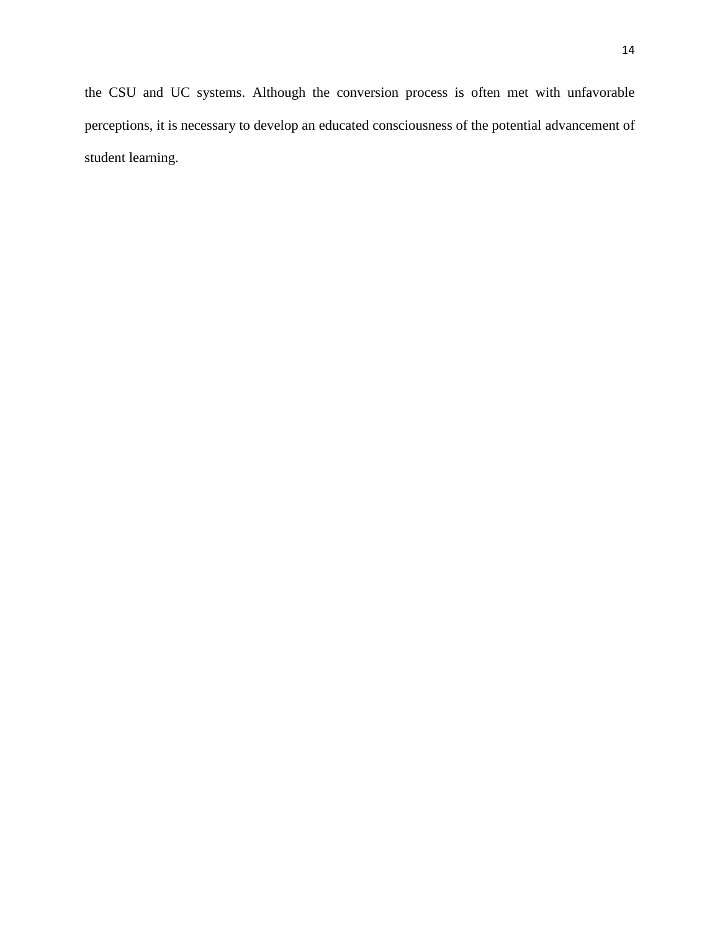the CSU and UC systems. Although the conversion process is often met with unfavorable perceptions, it is necessary to develop an educated consciousness of the potential advancement of student learning.